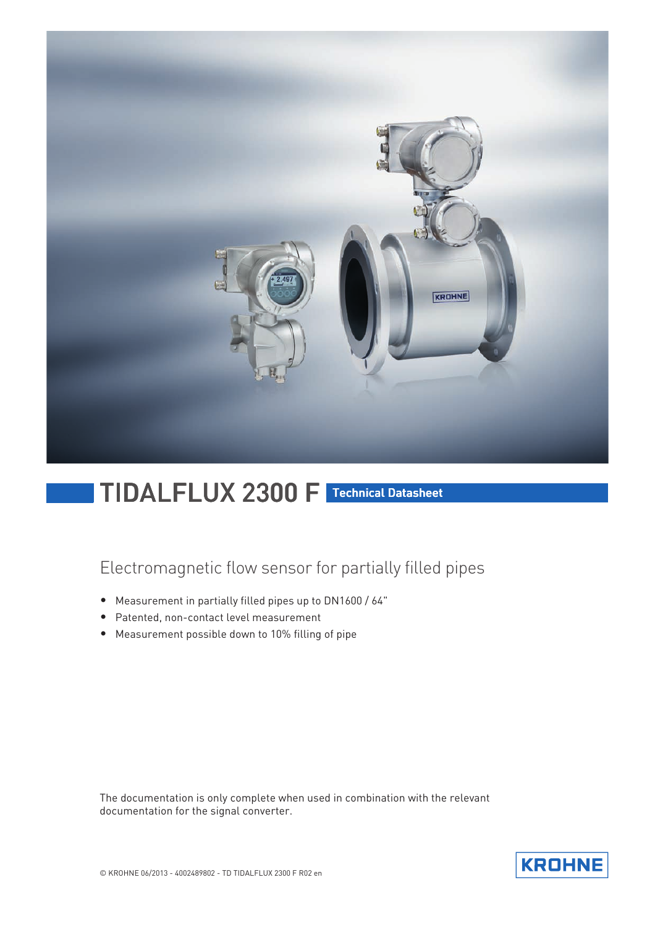

# TIDALFLUX 2300 F Technical Datasheet

## Electromagnetic flow sensor for partially filled pipes

- Measurement in partially filled pipes up to DN1600 / 64"
- Patented, non-contact level measurement
- Measurement possible down to 10% filling of pipe

The documentation is only complete when used in combination with the relevant documentation for the signal converter.

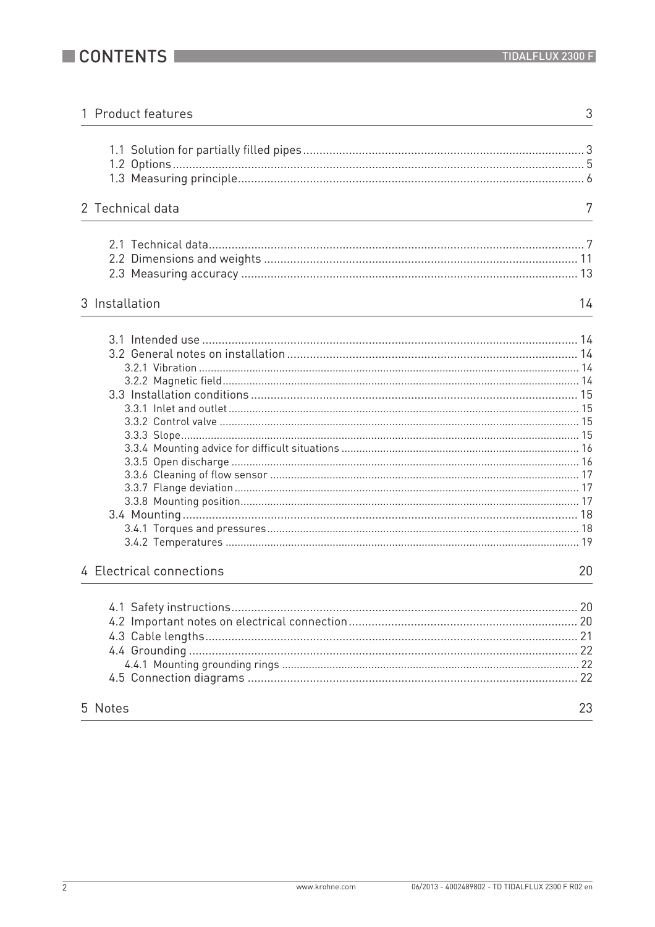| 1 Product features       | 3  |
|--------------------------|----|
|                          |    |
| 2 Technical data         | 7  |
|                          |    |
| 3 Installation           | 14 |
|                          |    |
| 4 Electrical connections | 20 |
|                          |    |
| 5 Notes                  | 23 |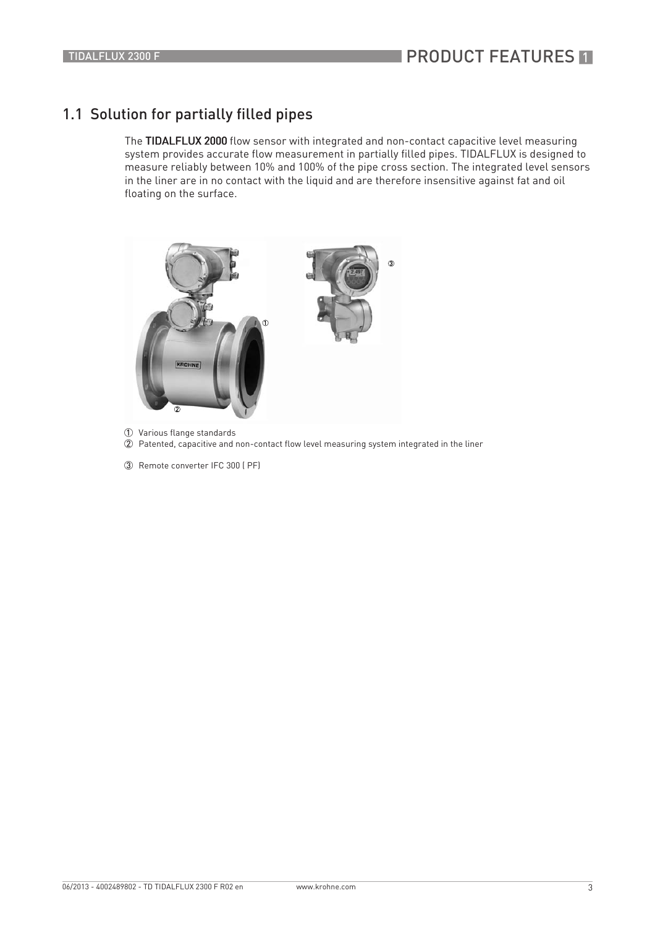### 1.1 Solution for partially filled pipes

The TIDALFLUX 2000 flow sensor with integrated and non-contact capacitive level measuring system provides accurate flow measurement in partially filled pipes. TIDALFLUX is designed to measure reliably between 10% and 100% of the pipe cross section. The integrated level sensors in the liner are in no contact with the liquid and are therefore insensitive against fat and oil floating on the surface.



- 1 Various flange standards
- $\overline{\textcircled{2}}$  Patented, capacitive and non-contact flow level measuring system integrated in the liner
- 3 Remote converter IFC 300 ( PF)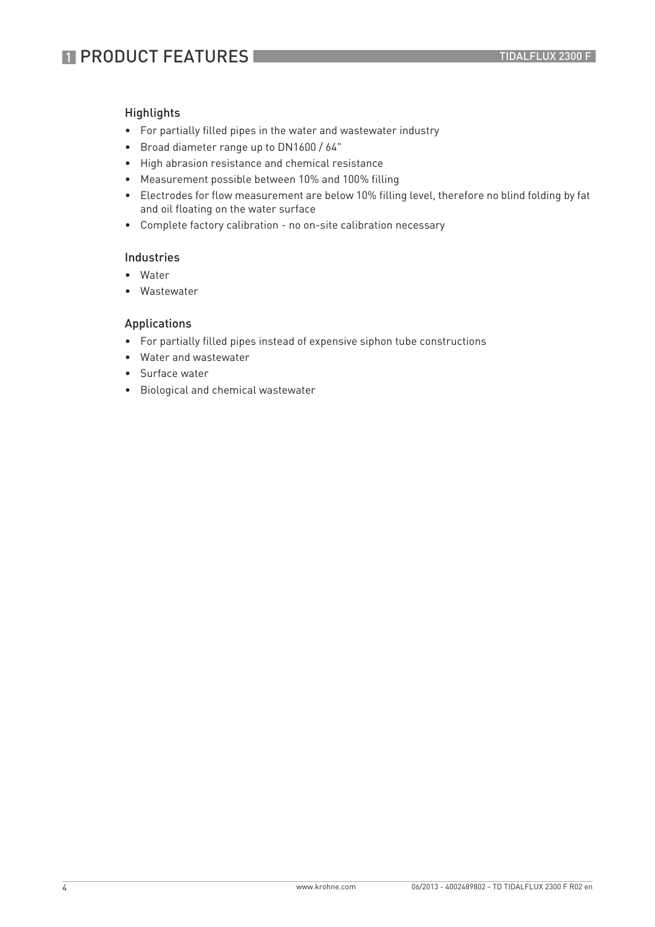#### **Highlights**

- For partially filled pipes in the water and wastewater industry
- Broad diameter range up to DN1600 / 64"
- High abrasion resistance and chemical resistance
- Measurement possible between 10% and 100% filling
- Electrodes for flow measurement are below 10% filling level, therefore no blind folding by fat and oil floating on the water surface
- Complete factory calibration no on-site calibration necessary

#### Industries

- Water
- Wastewater

#### Applications

- For partially filled pipes instead of expensive siphon tube constructions
- Water and wastewater
- Surface water
- Biological and chemical wastewater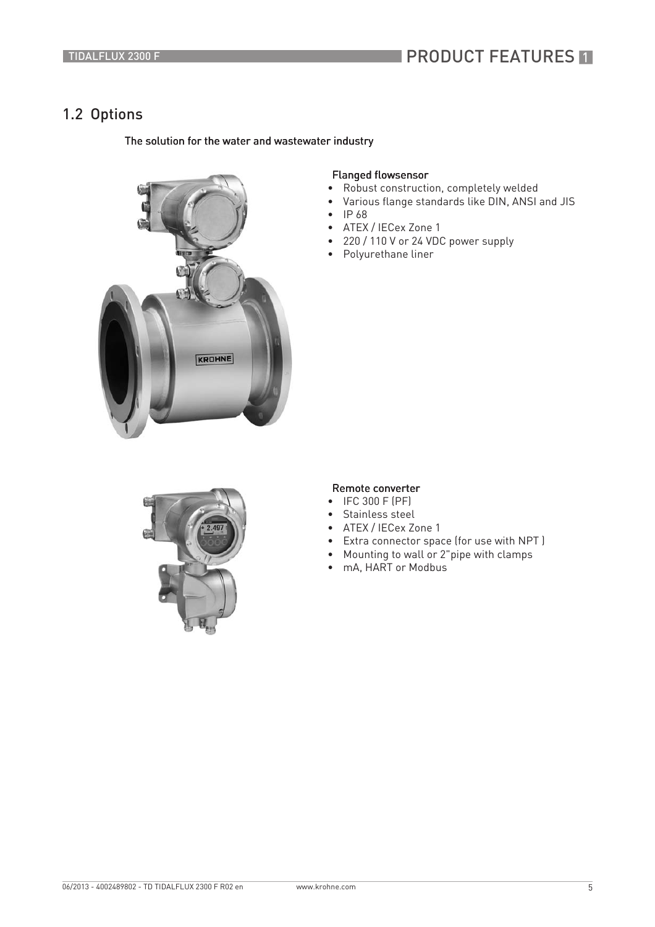## **PRODUCT FEATURES IT**

### 1.2 Options

#### The solution for the water and wastewater industry



#### Flanged flowsensor

- Robust construction, completely welded
- Various flange standards like DIN, ANSI and JIS
- IP 68
- ATEX / IECex Zone 1
- 220 / 110 V or 24 VDC power supply
- Polyurethane liner



#### Remote converter

- IFC 300 F (PF)
- Stainless steel
- ATEX / IECex Zone 1
- Extra connector space (for use with NPT )
- Mounting to wall or 2"pipe with clamps
- mA, HART or Modbus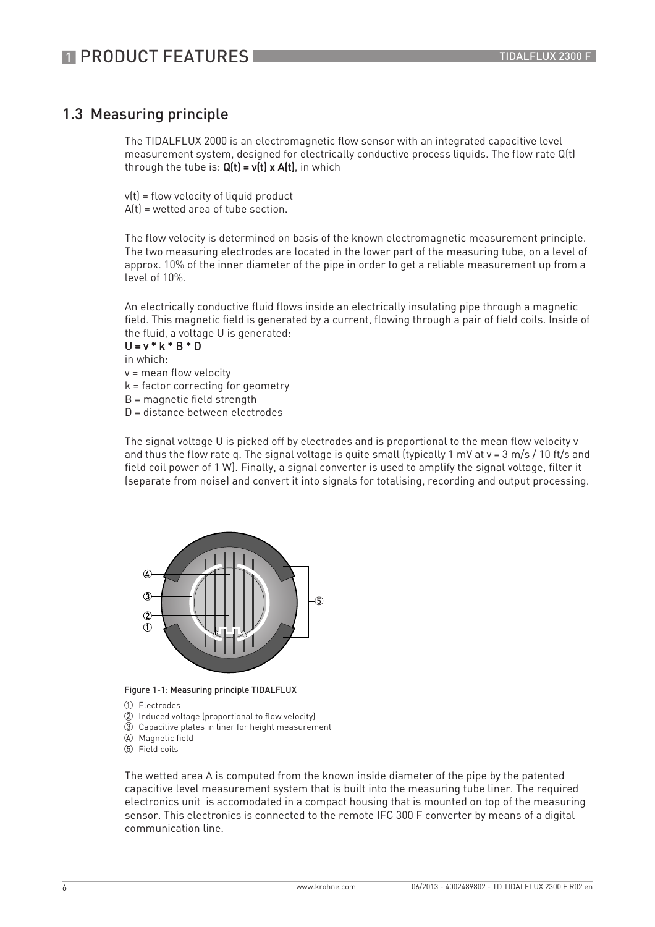### 1.3 Measuring principle

The TIDALFLUX 2000 is an electromagnetic flow sensor with an integrated capacitive level measurement system, designed for electrically conductive process liquids. The flow rate Q(t) through the tube is:  $Q(t) = v(t) \times A(t)$ , in which

 $v(t)$  = flow velocity of liquid product  $A(t)$  = wetted area of tube section.

The flow velocity is determined on basis of the known electromagnetic measurement principle. The two measuring electrodes are located in the lower part of the measuring tube, on a level of approx. 10% of the inner diameter of the pipe in order to get a reliable measurement up from a level of 10%.

An electrically conductive fluid flows inside an electrically insulating pipe through a magnetic field. This magnetic field is generated by a current, flowing through a pair of field coils. Inside of the fluid, a voltage U is generated:

 $U = v * k * R * D$ in which: v = mean flow velocity k = factor correcting for geometry B = magnetic field strength D = distance between electrodes

The signal voltage U is picked off by electrodes and is proportional to the mean flow velocity v and thus the flow rate q. The signal voltage is quite small (typically 1 mV at v = 3 m/s / 10 ft/s and field coil power of 1 W). Finally, a signal converter is used to amplify the signal voltage, filter it (separate from noise) and convert it into signals for totalising, recording and output processing.



Figure 1-1: Measuring principle TIDALFLUX

- 1 Electrodes
- 2 Induced voltage (proportional to flow velocity)
- 3 Capacitive plates in liner for height measurement
- 4 Magnetic field
- 5 Field coils

The wetted area A is computed from the known inside diameter of the pipe by the patented capacitive level measurement system that is built into the measuring tube liner. The required electronics unit is accomodated in a compact housing that is mounted on top of the measuring sensor. This electronics is connected to the remote IFC 300 F converter by means of a digital communication line.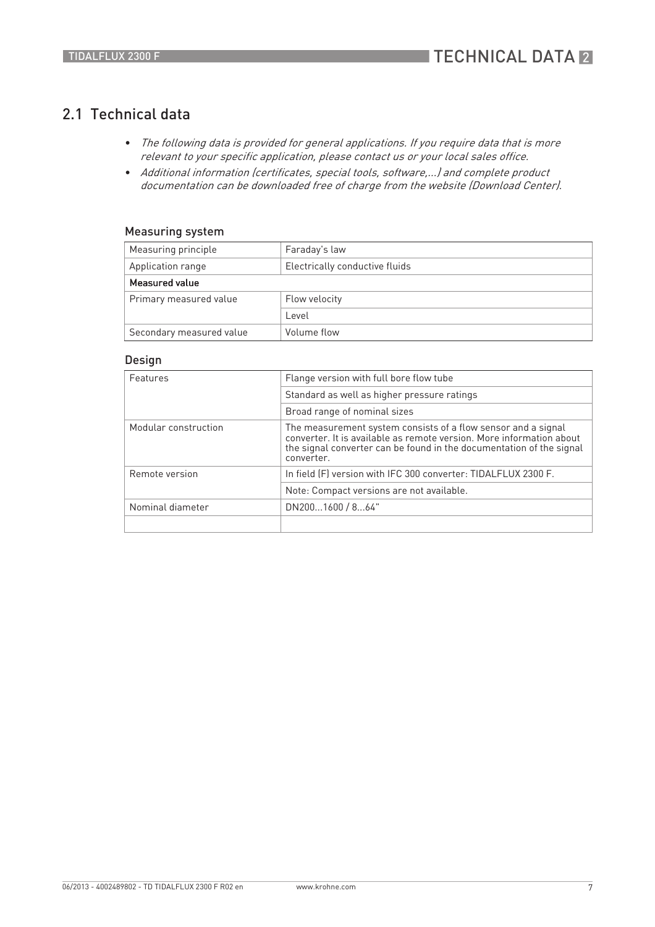### 2.1 Technical data

- The following data is provided for general applications. If you require data that is more relevant to your specific application, please contact us or your local sales office.
- Additional information (certificates, special tools, software,...) and complete product documentation can be downloaded free of charge from the website (Download Center).

#### Measuring system

| Measuring principle      | Faraday's law                  |  |  |
|--------------------------|--------------------------------|--|--|
| Application range        | Electrically conductive fluids |  |  |
| Measured value           |                                |  |  |
| Primary measured value   | Flow velocity                  |  |  |
|                          | l evel                         |  |  |
| Secondary measured value | Volume flow                    |  |  |

#### Design

| Features             | Flange version with full bore flow tube                                                                                                                                                                                     |  |  |  |
|----------------------|-----------------------------------------------------------------------------------------------------------------------------------------------------------------------------------------------------------------------------|--|--|--|
|                      | Standard as well as higher pressure ratings                                                                                                                                                                                 |  |  |  |
|                      | Broad range of nominal sizes                                                                                                                                                                                                |  |  |  |
| Modular construction | The measurement system consists of a flow sensor and a signal<br>converter. It is available as remote version. More information about<br>the signal converter can be found in the documentation of the signal<br>converter. |  |  |  |
| Remote version       | In field (F) version with IFC 300 converter: TIDALFLUX 2300 F.                                                                                                                                                              |  |  |  |
|                      | Note: Compact versions are not available.                                                                                                                                                                                   |  |  |  |
| Nominal diameter     | DN2001600 / 864"                                                                                                                                                                                                            |  |  |  |
|                      |                                                                                                                                                                                                                             |  |  |  |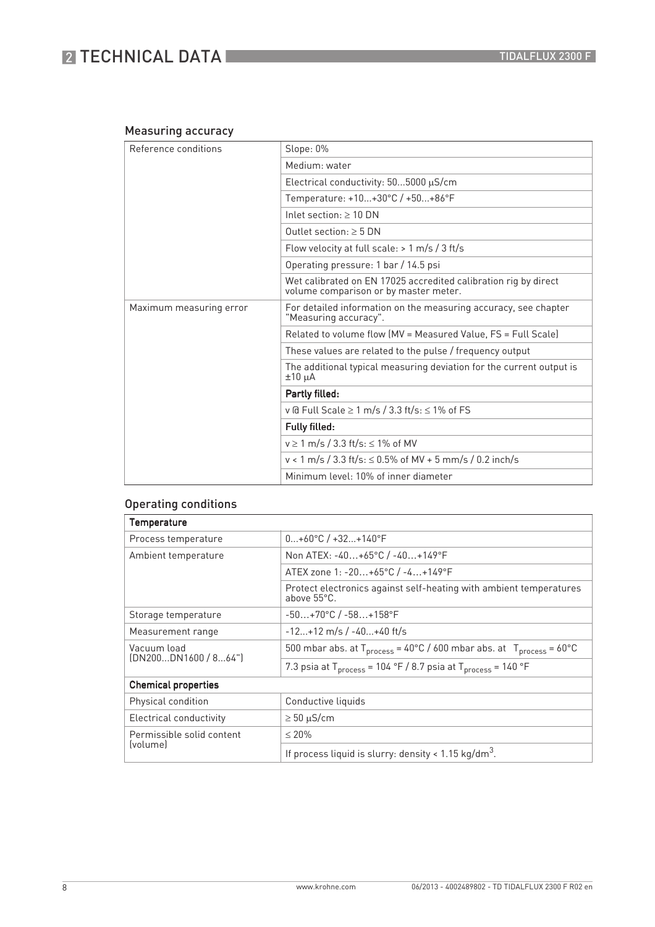## **2 TECHNICAL DATA**

#### Measuring accuracy

| Reference conditions    | Slope: 0%                                                                                                |  |  |  |  |
|-------------------------|----------------------------------------------------------------------------------------------------------|--|--|--|--|
|                         | Medium: water                                                                                            |  |  |  |  |
|                         | Electrical conductivity: $505000 \mu S/cm$                                                               |  |  |  |  |
|                         | Temperature: +10+30°C / +50+86°F                                                                         |  |  |  |  |
|                         | Inlet section: $> 10$ DN                                                                                 |  |  |  |  |
|                         | Outlet section: $\geq$ 5 DN                                                                              |  |  |  |  |
|                         | Flow velocity at full scale: $> 1$ m/s / 3 ft/s                                                          |  |  |  |  |
|                         | Operating pressure: 1 bar / 14.5 psi                                                                     |  |  |  |  |
|                         | Wet calibrated on EN 17025 accredited calibration rig by direct<br>volume comparison or by master meter. |  |  |  |  |
| Maximum measuring error | For detailed information on the measuring accuracy, see chapter<br>"Measuring accuracy".                 |  |  |  |  |
|                         | Related to volume flow (MV = Measured Value, FS = Full Scale)                                            |  |  |  |  |
|                         | These values are related to the pulse / frequency output                                                 |  |  |  |  |
|                         | The additional typical measuring deviation for the current output is<br>$±10~\mu A$                      |  |  |  |  |
|                         | Partly filled:                                                                                           |  |  |  |  |
|                         | v @ Full Scale $\geq 1$ m/s / 3.3 ft/s: $\leq 1\%$ of FS                                                 |  |  |  |  |
|                         | Fully filled:                                                                                            |  |  |  |  |
|                         | $v \ge 1$ m/s / 3.3 ft/s: $\le 1\%$ of MV                                                                |  |  |  |  |
|                         | $v < 1$ m/s / 3.3 ft/s: $\le 0.5\%$ of MV + 5 mm/s / 0.2 inch/s                                          |  |  |  |  |
|                         | Minimum level: 10% of inner diameter                                                                     |  |  |  |  |

### Operating conditions

| Temperature                                       |                                                                                             |  |  |
|---------------------------------------------------|---------------------------------------------------------------------------------------------|--|--|
| Process temperature                               | $0+60^{\circ}C$ / +32+140°F                                                                 |  |  |
| Ambient temperature                               | Non ATEX: -40+65°C / -40+149°F                                                              |  |  |
|                                                   | ATEX zone 1: -20+65°C / -4+149°F                                                            |  |  |
|                                                   | Protect electronics against self-heating with ambient temperatures<br>above 55°C.           |  |  |
| Storage temperature                               | $-50+70$ °C / $-58+158$ °F                                                                  |  |  |
| $-12+12$ m/s / $-40+40$ ft/s<br>Measurement range |                                                                                             |  |  |
| Vacuum load<br>(DN200DN1600/864")                 | 500 mbar abs. at $T_{process} = 40^{\circ}C / 600$ mbar abs. at $T_{process} = 60^{\circ}C$ |  |  |
|                                                   | 7.3 psia at $T_{process}$ = 104 °F / 8.7 psia at $T_{process}$ = 140 °F                     |  |  |
| <b>Chemical properties</b>                        |                                                                                             |  |  |
| Physical condition                                | Conductive liquids                                                                          |  |  |
| Electrical conductivity                           | $\geq 50 \mu$ S/cm                                                                          |  |  |
| Permissible solid content                         | $\leq 20\%$                                                                                 |  |  |
| (volume)                                          | If process liquid is slurry: density < $1.15 \text{ kg/dm}^3$ .                             |  |  |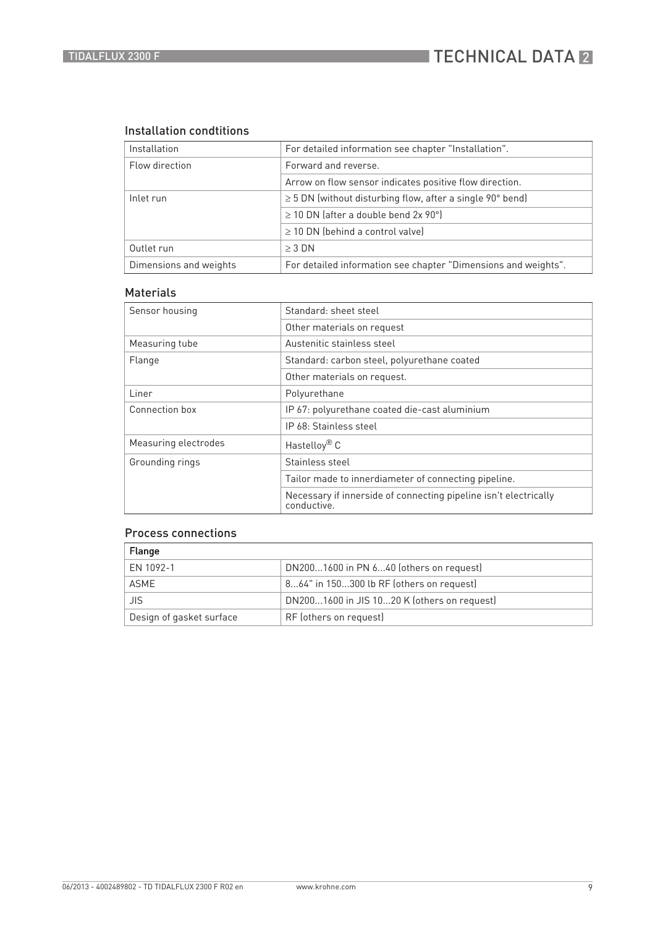#### Installation condtitions

| Installation           | For detailed information see chapter "Installation".           |  |  |
|------------------------|----------------------------------------------------------------|--|--|
| Flow direction         | Forward and reverse.                                           |  |  |
|                        | Arrow on flow sensor indicates positive flow direction.        |  |  |
| Inlet run              | $\geq$ 5 DN (without disturbing flow, after a single 90° bend) |  |  |
|                        | $\geq$ 10 DN (after a double bend 2x 90°)                      |  |  |
|                        | $\geq$ 10 DN (behind a control valve)                          |  |  |
| Outlet run             | $\geq$ 3 DN                                                    |  |  |
| Dimensions and weights | For detailed information see chapter "Dimensions and weights". |  |  |

#### Materials

| Sensor housing       | Standard: sheet steel                                                           |  |  |  |
|----------------------|---------------------------------------------------------------------------------|--|--|--|
|                      | Other materials on request                                                      |  |  |  |
| Measuring tube       | Austenitic stainless steel                                                      |  |  |  |
| Flange               | Standard: carbon steel, polyurethane coated                                     |  |  |  |
|                      | Other materials on request.                                                     |  |  |  |
| Liner                | Polyurethane                                                                    |  |  |  |
| Connection box       | IP 67: polyurethane coated die-cast aluminium                                   |  |  |  |
|                      | IP 68: Stainless steel                                                          |  |  |  |
| Measuring electrodes | Hastelloy <sup>®</sup> C                                                        |  |  |  |
| Grounding rings      | Stainless steel                                                                 |  |  |  |
|                      | Tailor made to innerdiameter of connecting pipeline.                            |  |  |  |
|                      | Necessary if innerside of connecting pipeline isn't electrically<br>conductive. |  |  |  |

#### Process connections

| Flange                   |                                             |
|--------------------------|---------------------------------------------|
| EN 1092-1                | DN2001600 in PN 640 (others on request)     |
| <b>ASME</b>              | 864" in 150300 lb RF (others on request)    |
| JIS                      | DN2001600 in JIS 1020 K (others on request) |
| Design of gasket surface | RF (others on request)                      |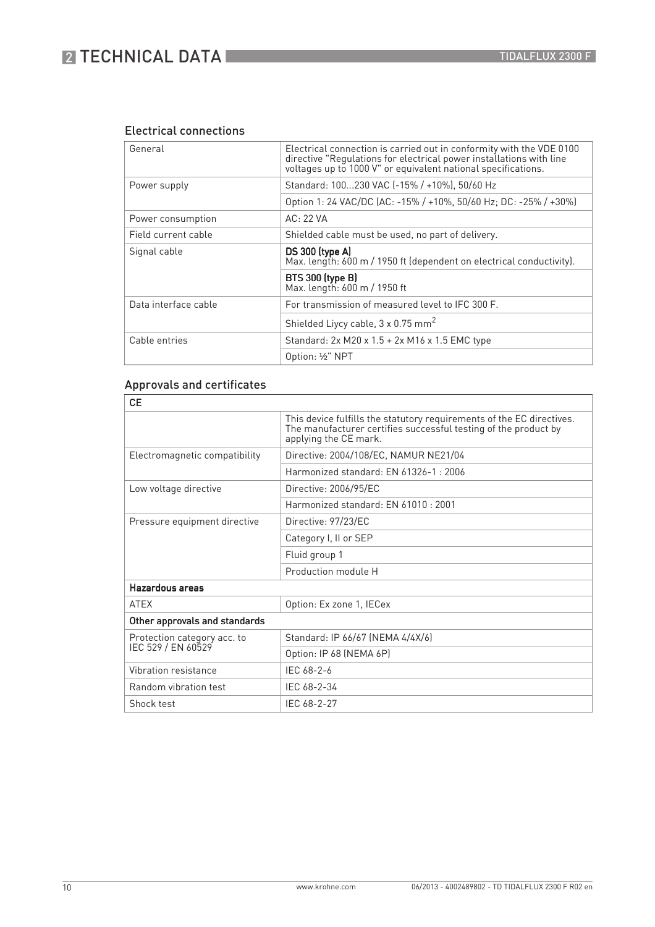## **2 TECHNICAL DATA**

#### Electrical connections

| General              | Electrical connection is carried out in conformity with the VDE 0100<br>directive "Regulations for electrical power installations with line<br>voltages up to 1000 V" or equivalent national specifications. |  |  |
|----------------------|--------------------------------------------------------------------------------------------------------------------------------------------------------------------------------------------------------------|--|--|
| Power supply         | Standard: 100230 VAC (-15% / +10%), 50/60 Hz                                                                                                                                                                 |  |  |
|                      | Option 1: 24 VAC/DC (AC: -15% / +10%, 50/60 Hz; DC: -25% / +30%)                                                                                                                                             |  |  |
| Power consumption    | AC: 22 VA                                                                                                                                                                                                    |  |  |
| Field current cable  | Shielded cable must be used, no part of delivery.                                                                                                                                                            |  |  |
| Signal cable         | DS 300 (type A)<br>Max. length: 600 m / 1950 ft (dependent on electrical conductivity).                                                                                                                      |  |  |
|                      | <b>BTS 300 (type B)</b><br>Max. length: 600 m / 1950 ft                                                                                                                                                      |  |  |
| Data interface cable | For transmission of measured level to IFC 300 F.                                                                                                                                                             |  |  |
|                      | Shielded Liycy cable, 3 x 0.75 mm <sup>2</sup>                                                                                                                                                               |  |  |
| Cable entries        | Standard: 2x M20 x 1.5 + 2x M16 x 1.5 EMC type                                                                                                                                                               |  |  |
|                      | Option: 1/2" NPT                                                                                                                                                                                             |  |  |

### Approvals and certificates

| This device fulfills the statutory requirements of the EC directives.<br>The manufacturer certifies successful testing of the product by<br>applying the CE mark. |
|-------------------------------------------------------------------------------------------------------------------------------------------------------------------|
|                                                                                                                                                                   |
| Directive: 2004/108/EC, NAMUR NE21/04<br>Electromagnetic compatibility                                                                                            |
| Harmonized standard: FN 61326-1: 2006                                                                                                                             |
| Low voltage directive<br>Directive: 2006/95/EC                                                                                                                    |
| Harmonized standard: EN 61010 : 2001                                                                                                                              |
| Pressure equipment directive<br>Directive: 97/23/EC                                                                                                               |
| Category I, II or SEP                                                                                                                                             |
| Fluid group 1                                                                                                                                                     |
| Production module H                                                                                                                                               |
| Hazardous areas                                                                                                                                                   |
| <b>ATEX</b><br>Option: Ex zone 1, IECex                                                                                                                           |
| Other approvals and standards                                                                                                                                     |
| Standard: IP 66/67 (NEMA 4/4X/6)<br>Protection category acc. to                                                                                                   |
| IEC 529 / EN 60529<br>Option: IP 68 (NEMA 6P)                                                                                                                     |
| IFC 68-2-6<br>Vibration resistance                                                                                                                                |
| Random vibration test<br>IEC 68-2-34                                                                                                                              |
| Shock test<br>IEC 68-2-27                                                                                                                                         |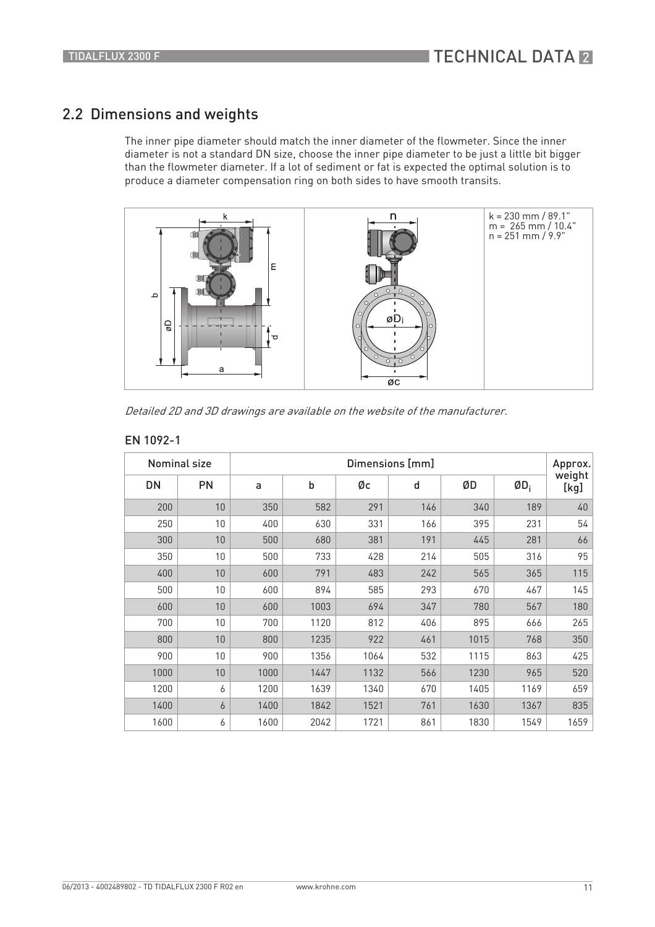### 2.2 Dimensions and weights

The inner pipe diameter should match the inner diameter of the flowmeter. Since the inner diameter is not a standard DN size, choose the inner pipe diameter to be just a little bit bigger than the flowmeter diameter. If a lot of sediment or fat is expected the optimal solution is to produce a diameter compensation ring on both sides to have smooth transits.



Detailed 2D and 3D drawings are available on the website of the manufacturer.

#### EN 1092-1

|      | <b>Nominal size</b> | Dimensions [mm] |      |      |              |      | Approx. |                |
|------|---------------------|-----------------|------|------|--------------|------|---------|----------------|
| DN   | PN                  | a               | b    | Øс   | $\mathsf{d}$ | ØD   | $ØD_i$  | weight<br>[kg] |
| 200  | 10                  | 350             | 582  | 291  | 146          | 340  | 189     | 40             |
| 250  | 10                  | 400             | 630  | 331  | 166          | 395  | 231     | 54             |
| 300  | 10                  | 500             | 680  | 381  | 191          | 445  | 281     | 66             |
| 350  | 10                  | 500             | 733  | 428  | 214          | 505  | 316     | 95             |
| 400  | 10                  | 600             | 791  | 483  | 242          | 565  | 365     | 115            |
| 500  | 10 <sup>1</sup>     | 600             | 894  | 585  | 293          | 670  | 467     | 145            |
| 600  | 10                  | 600             | 1003 | 694  | 347          | 780  | 567     | 180            |
| 700  | 10                  | 700             | 1120 | 812  | 406          | 895  | 666     | 265            |
| 800  | 10                  | 800             | 1235 | 922  | 461          | 1015 | 768     | 350            |
| 900  | 10                  | 900             | 1356 | 1064 | 532          | 1115 | 863     | 425            |
| 1000 | 10                  | 1000            | 1447 | 1132 | 566          | 1230 | 965     | 520            |
| 1200 | 6                   | 1200            | 1639 | 1340 | 670          | 1405 | 1169    | 659            |
| 1400 | 6                   | 1400            | 1842 | 1521 | 761          | 1630 | 1367    | 835            |
| 1600 | 6                   | 1600            | 2042 | 1721 | 861          | 1830 | 1549    | 1659           |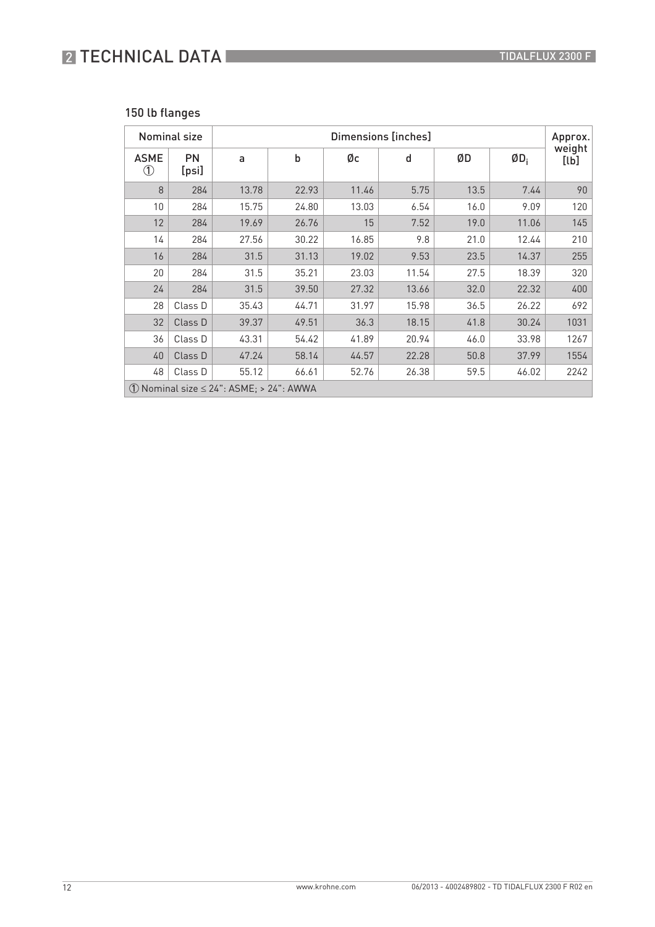## **2 TECHNICAL DATA**

### 150 lb flanges

|                                                              | <b>Nominal size</b> | Dimensions [inches] |       |       |       |      | Approx. |                |
|--------------------------------------------------------------|---------------------|---------------------|-------|-------|-------|------|---------|----------------|
| <b>ASME</b><br>$^{\circledR}$                                | <b>PN</b><br>[psi]  | a                   | b     | Øс    | d     | ØD   | $ØD_i$  | weight<br>[lb] |
| 8                                                            | 284                 | 13.78               | 22.93 | 11.46 | 5.75  | 13.5 | 7.44    | 90             |
| 10                                                           | 284                 | 15.75               | 24.80 | 13.03 | 6.54  | 16.0 | 9.09    | 120            |
| 12                                                           | 284                 | 19.69               | 26.76 | 15    | 7.52  | 19.0 | 11.06   | 145            |
| 14                                                           | 284                 | 27.56               | 30.22 | 16.85 | 9.8   | 21.0 | 12.44   | 210            |
| 16                                                           | 284                 | 31.5                | 31.13 | 19.02 | 9.53  | 23.5 | 14.37   | 255            |
| 20                                                           | 284                 | 31.5                | 35.21 | 23.03 | 11.54 | 27.5 | 18.39   | 320            |
| 24                                                           | 284                 | 31.5                | 39.50 | 27.32 | 13.66 | 32.0 | 22.32   | 400            |
| 28                                                           | Class D             | 35.43               | 44.71 | 31.97 | 15.98 | 36.5 | 26.22   | 692            |
| 32                                                           | Class D             | 39.37               | 49.51 | 36.3  | 18.15 | 41.8 | 30.24   | 1031           |
| 36                                                           | Class D             | 43.31               | 54.42 | 41.89 | 20.94 | 46.0 | 33.98   | 1267           |
| 40                                                           | Class D             | 47.24               | 58.14 | 44.57 | 22.28 | 50.8 | 37.99   | 1554           |
| 48                                                           | Class D             | 55.12               | 66.61 | 52.76 | 26.38 | 59.5 | 46.02   | 2242           |
| $\textcircled{1}$ Nominal size $\leq$ 24": ASME; > 24": AWWA |                     |                     |       |       |       |      |         |                |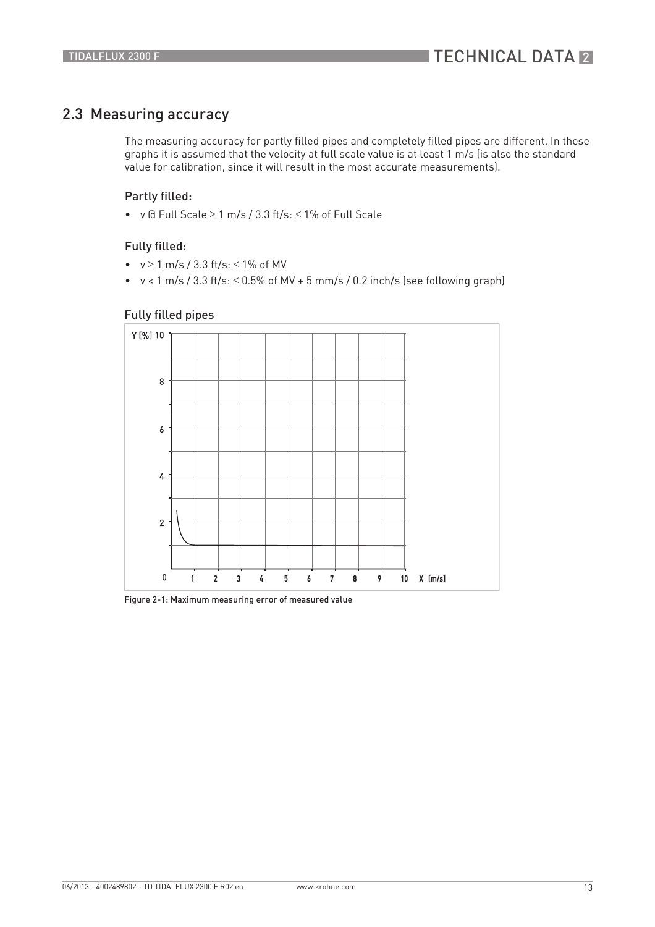### 2.3 Measuring accuracy

The measuring accuracy for partly filled pipes and completely filled pipes are different. In these graphs it is assumed that the velocity at full scale value is at least 1 m/s (is also the standard value for calibration, since it will result in the most accurate measurements).

#### Partly filled:

• v @ Full Scale ≥ 1 m/s / 3.3 ft/s: ≤ 1% of Full Scale

#### Fully filled:

- $v \ge 1$  m/s / 3.3 ft/s:  $\le 1\%$  of MV
- v < 1 m/s / 3.3 ft/s: ≤ 0.5% of MV + 5 mm/s / 0.2 inch/s (see following graph)

#### Fully filled pipes



Figure 2-1: Maximum measuring error of measured value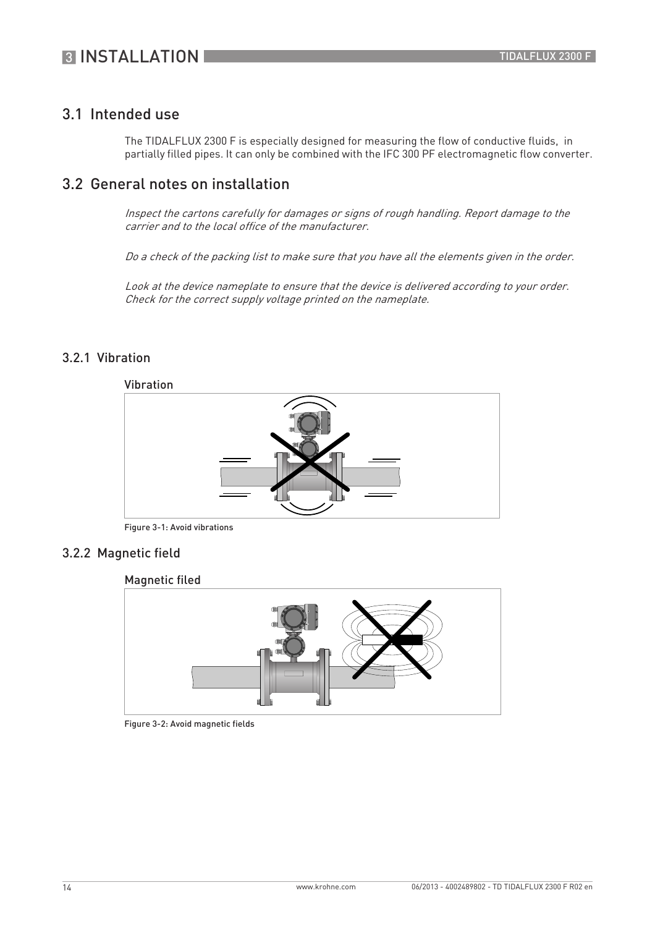### 3.1 Intended use

The TIDALFLUX 2300 F is especially designed for measuring the flow of conductive fluids, in partially filled pipes. It can only be combined with the IFC 300 PF electromagnetic flow converter.

### 3.2 General notes on installation

Inspect the cartons carefully for damages or signs of rough handling. Report damage to the carrier and to the local office of the manufacturer.

Do a check of the packing list to make sure that you have all the elements given in the order.

Look at the device nameplate to ensure that the device is delivered according to your order. Check for the correct supply voltage printed on the nameplate.

### 3.2.1 Vibration



Figure 3-1: Avoid vibrations

#### 3.2.2 Magnetic field

Magnetic filed



Figure 3-2: Avoid magnetic fields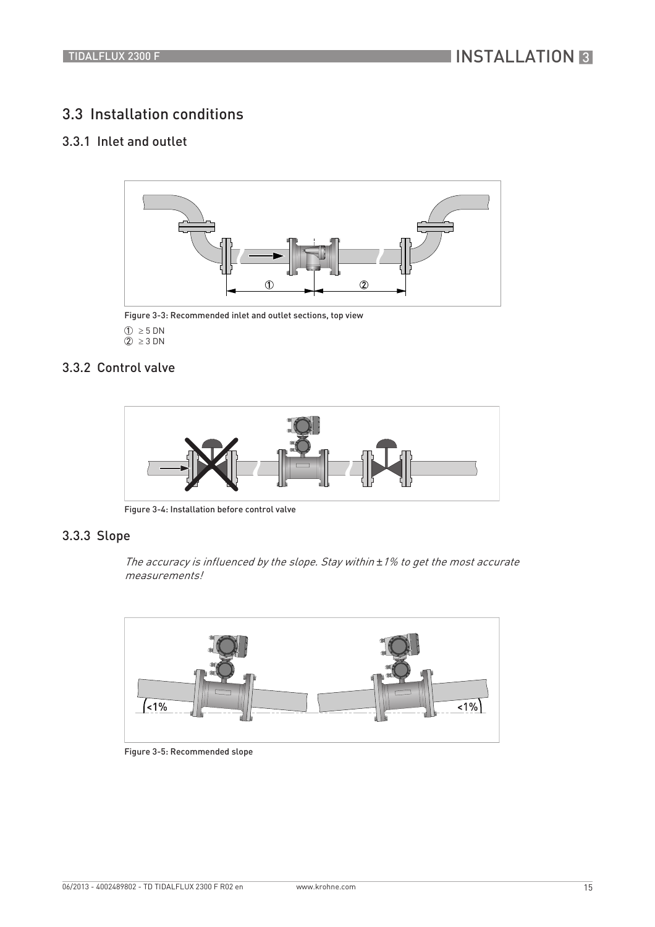### 3.3 Installation conditions

### 3.3.1 Inlet and outlet



Figure 3-3: Recommended inlet and outlet sections, top view  $\textcircled{1} \geq 5 \text{ DN}$  $\overline{2}$  ≥ 3 DN

#### 3.3.2 Control valve



Figure 3-4: Installation before control valve

#### 3.3.3 Slope

The accuracy is influenced by the slope. Stay within *±*1% to get the most accurate measurements!



Figure 3-5: Recommended slope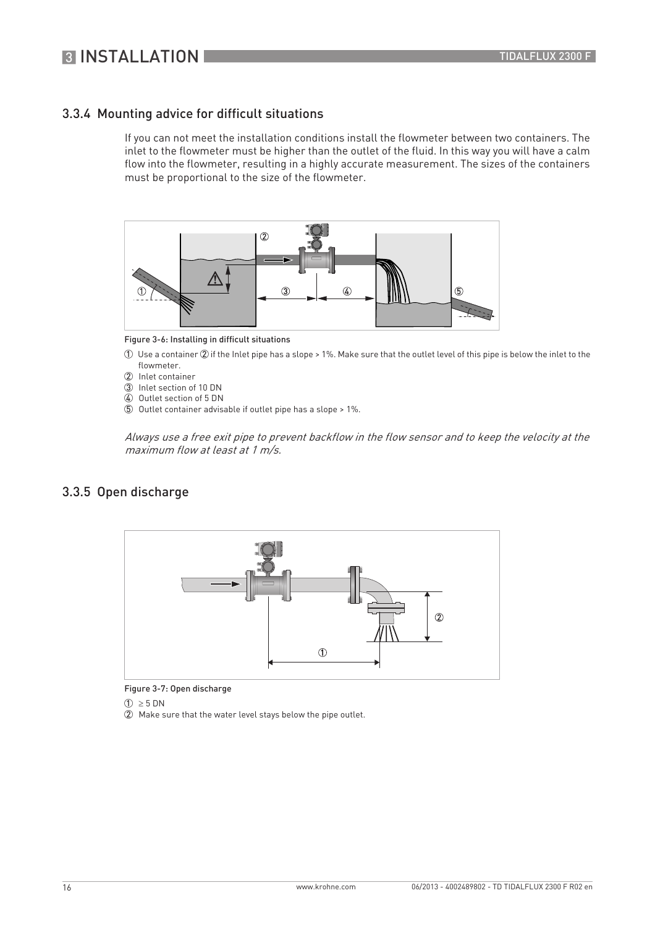### 3.3.4 Mounting advice for difficult situations

If you can not meet the installation conditions install the flowmeter between two containers. The inlet to the flowmeter must be higher than the outlet of the fluid. In this way you will have a calm flow into the flowmeter, resulting in a highly accurate measurement. The sizes of the containers must be proportional to the size of the flowmeter.



Figure 3-6: Installing in difficult situations

- 1 Use a container 2 if the Inlet pipe has a slope > 1%. Make sure that the outlet level of this pipe is below the inlet to the flowmeter.
- 2 Inlet container
- 3 Inlet section of 10 DN
- 4 Outlet section of 5 DN
- 5 Outlet container advisable if outlet pipe has a slope > 1%.

Always use a free exit pipe to prevent backflow in the flow sensor and to keep the velocity at the maximum flow at least at 1 m/s.

#### 3.3.5 Open discharge



Figure 3-7: Open discharge

 $\textcircled{1} \geq 5 \text{ DN}$ 

2 Make sure that the water level stays below the pipe outlet.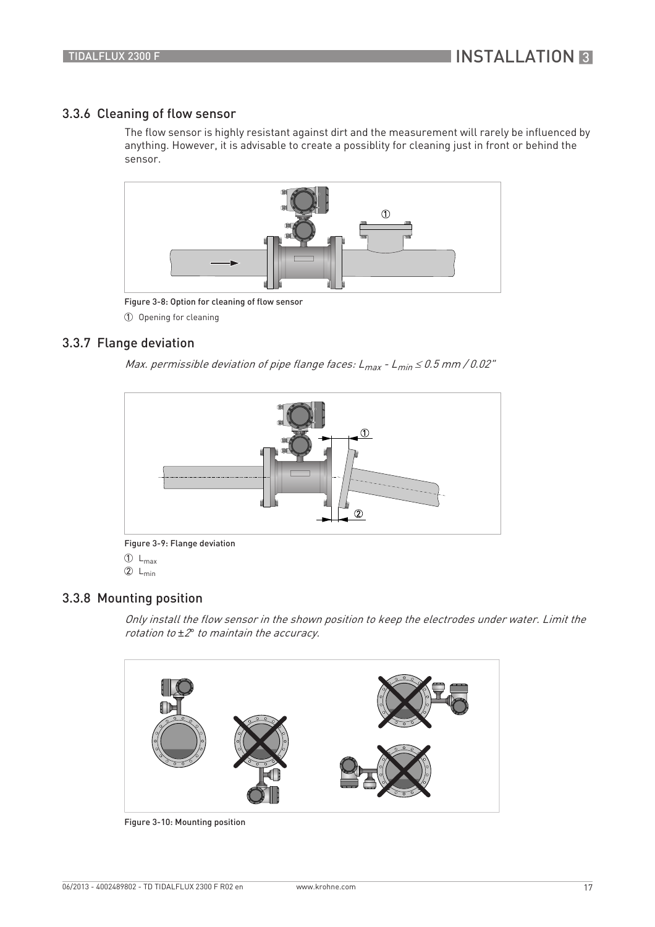#### 3.3.6 Cleaning of flow sensor

The flow sensor is highly resistant against dirt and the measurement will rarely be influenced by anything. However, it is advisable to create a possiblity for cleaning just in front or behind the sensor.



Figure 3-8: Option for cleaning of flow sensor

1 Opening for cleaning

#### 3.3.7 Flange deviation

Max. permissible deviation of pipe flange faces:  $L_{max}$  -  $L_{min} \le 0.5$  mm / 0.02"



 $\overline{1}$  L<sub>max</sub>

 $2 L_{min}$ 

### 3.3.8 Mounting position

Only install the flow sensor in the shown position to keep the electrodes under water. Limit the rotation to *±*2*°* to maintain the accuracy.



Figure 3-10: Mounting position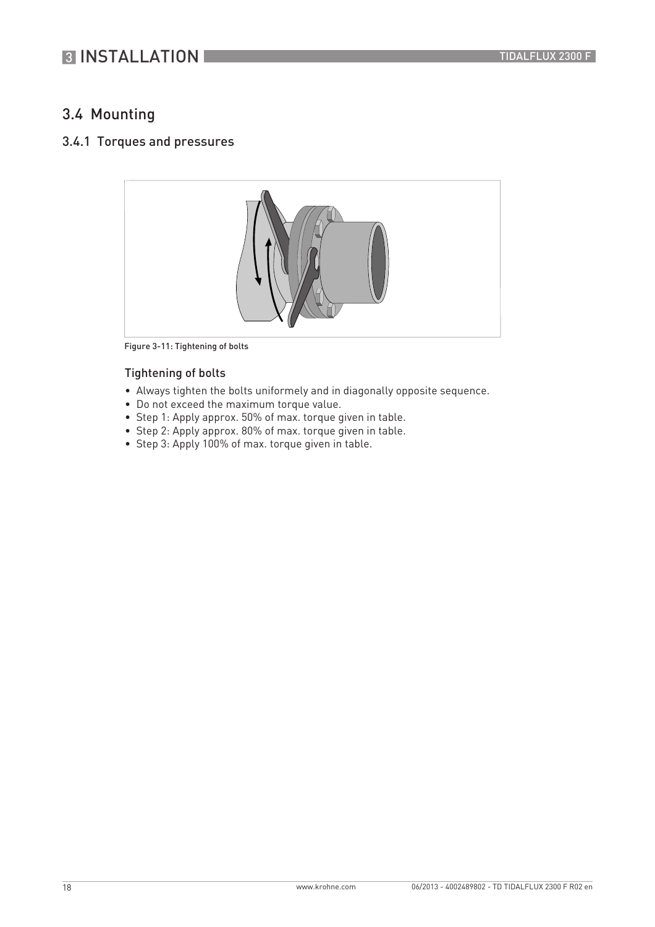## **3 INSTALLATION**

### 3.4 Mounting

#### 3.4.1 Torques and pressures



Figure 3-11: Tightening of bolts

#### Tightening of bolts

- Always tighten the bolts uniformely and in diagonally opposite sequence.
- Do not exceed the maximum torque value.
- Step 1: Apply approx. 50% of max. torque given in table.
- Step 2: Apply approx. 80% of max. torque given in table.
- Step 3: Apply 100% of max. torque given in table.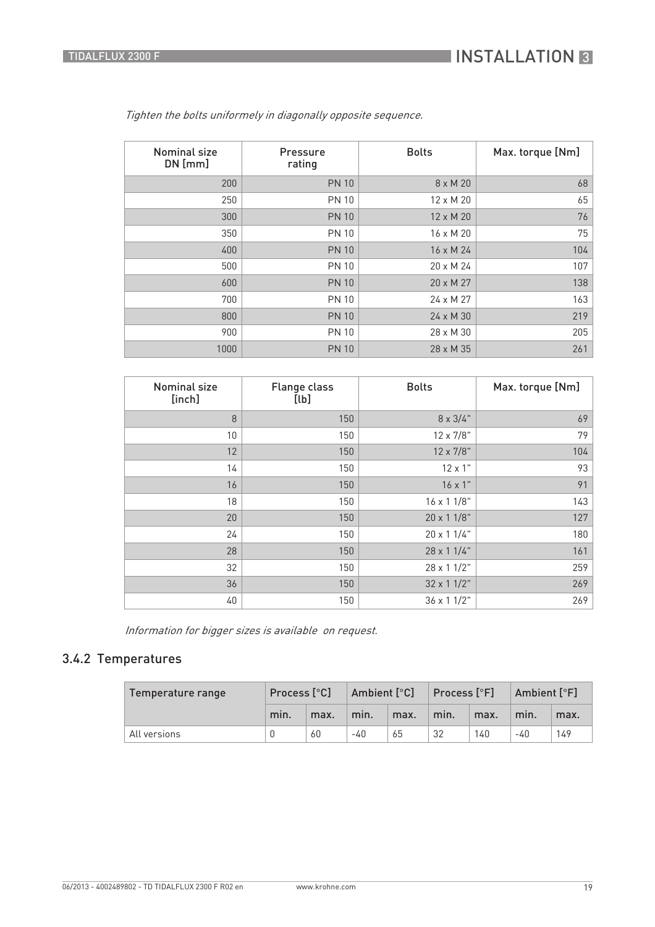| <b>Nominal size</b><br>$DN$ [mm] | Pressure<br>rating | <b>Bolts</b>     | Max. torque [Nm] |
|----------------------------------|--------------------|------------------|------------------|
| 200                              | <b>PN 10</b>       | 8 x M 20         | 68               |
| 250                              | <b>PN 10</b>       | 12 x M 20        | 65               |
| 300                              | <b>PN 10</b>       | 12 x M 20        | 76               |
| 350                              | <b>PN 10</b>       | 16 x M 20        | 75               |
| 400                              | <b>PN 10</b>       | $16 \times M$ 24 | 104              |
| 500                              | <b>PN 10</b>       | $20 \times M$ 24 | 107              |
| 600                              | <b>PN 10</b>       | 20 x M 27        | 138              |
| 700                              | <b>PN 10</b>       | 24 x M 27        | 163              |
| 800                              | <b>PN 10</b>       | 24 x M 30        | 219              |
| 900                              | <b>PN 10</b>       | 28 x M 30        | 205              |
| 1000                             | <b>PN 10</b>       | 28 x M 35        | 261              |

Tighten the bolts uniformely in diagonally opposite sequence.

| <b>Nominal size</b><br>[inch] | <b>Flange class</b><br>[lb] | <b>Bolts</b>       | Max. torque [Nm] |  |  |  |  |  |
|-------------------------------|-----------------------------|--------------------|------------------|--|--|--|--|--|
| 8                             | 150                         | $8 \times 3/4$ "   | 69               |  |  |  |  |  |
| 10                            | 150                         | 12 x 7/8"          | 79               |  |  |  |  |  |
| 12                            | 150                         | 12 x 7/8"          | 104              |  |  |  |  |  |
| 14                            | 150                         | $12 \times 1$ "    | 93               |  |  |  |  |  |
| 16                            | 150                         | $16 \times 1"$     | 91               |  |  |  |  |  |
| 18                            | 150                         | $16 \times 11/8$ " | 143              |  |  |  |  |  |
| 20                            | 150                         | 20 x 1 1/8"        | 127              |  |  |  |  |  |
| 24                            | 150                         | 20 x 1 1/4"        | 180              |  |  |  |  |  |
| 28                            | 150                         | 28 x 1 1/4"        | 161              |  |  |  |  |  |
| 32                            | 150                         | 28 x 1 1/2"        | 259              |  |  |  |  |  |
| 36                            | 150                         | 32 x 1 1/2"        | 269              |  |  |  |  |  |
| 40                            | 150                         | 36 x 1 1/2"        | 269              |  |  |  |  |  |

Information for bigger sizes is available on request.

### 3.4.2 Temperatures

| Temperature range | Process [°C] |      | Ambient [°C] |      | $\mid$ Process [ $\degree$ F] |      | Ambient [°F] |      |  |  |
|-------------------|--------------|------|--------------|------|-------------------------------|------|--------------|------|--|--|
|                   | min.         | max. | min.         | max. | min.                          | max. | min.         | max. |  |  |
| All versions      |              | 60   | -40          | 65   | 32                            | 140  | -40          | 149  |  |  |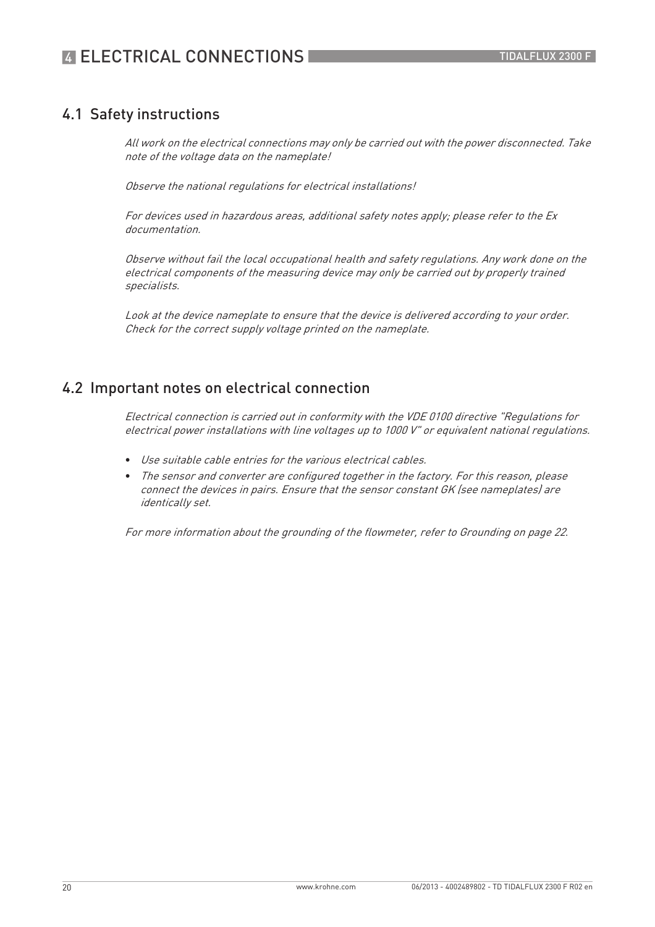### 4.1 Safety instructions

All work on the electrical connections may only be carried out with the power disconnected. Take note of the voltage data on the nameplate!

Observe the national regulations for electrical installations!

For devices used in hazardous areas, additional safety notes apply; please refer to the Ex documentation.

Observe without fail the local occupational health and safety regulations. Any work done on the electrical components of the measuring device may only be carried out by properly trained specialists.

Look at the device nameplate to ensure that the device is delivered according to your order. Check for the correct supply voltage printed on the nameplate.

### 4.2 Important notes on electrical connection

Electrical connection is carried out in conformity with the VDE 0100 directive "Regulations for electrical power installations with line voltages up to 1000 V" or equivalent national regulations.

- Use suitable cable entries for the various electrical cables.
- The sensor and converter are configured together in the factory. For this reason, please connect the devices in pairs. Ensure that the sensor constant GK (see nameplates) are identically set.

For more information about the grounding of the flowmeter, refer to Grounding on page 22.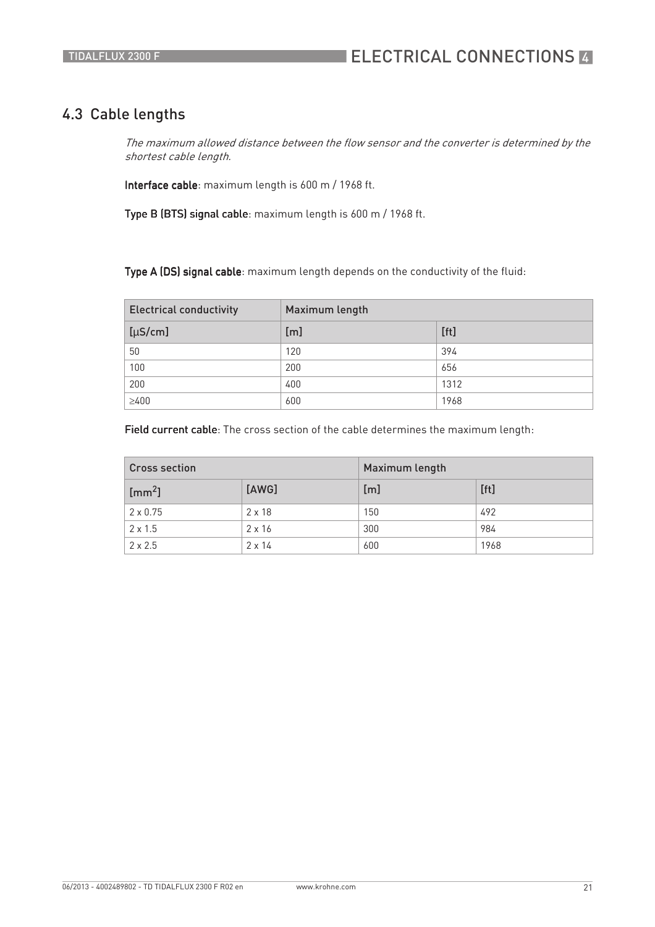### 4.3 Cable lengths

The maximum allowed distance between the flow sensor and the converter is determined by the shortest cable length.

Interface cable: maximum length is 600 m / 1968 ft.

Type B (BTS) signal cable: maximum length is 600 m / 1968 ft.

Type A (DS) signal cable: maximum length depends on the conductivity of the fluid:

| <b>Electrical conductivity</b> | Maximum length |      |  |  |  |  |  |  |  |
|--------------------------------|----------------|------|--|--|--|--|--|--|--|
| $[\mu S/cm]$                   | [m]            | [ft] |  |  |  |  |  |  |  |
| 50                             | 120            | 394  |  |  |  |  |  |  |  |
| 100                            | 200            | 656  |  |  |  |  |  |  |  |
| 200                            | 400            | 1312 |  |  |  |  |  |  |  |
| $\geq 400$                     | 600            | 1968 |  |  |  |  |  |  |  |

Field current cable: The cross section of the cable determines the maximum length:

| <b>Cross section</b>         |               | Maximum length |      |  |  |  |  |  |  |
|------------------------------|---------------|----------------|------|--|--|--|--|--|--|
| $\lfloor$ [mm <sup>2</sup> ] | [AWG]         | [m]            | [ft] |  |  |  |  |  |  |
| $2 \times 0.75$              | $2 \times 18$ | 150            | 492  |  |  |  |  |  |  |
| $2 \times 1.5$               | $2 \times 16$ | 300            | 984  |  |  |  |  |  |  |
| $2 \times 2.5$               | $2 \times 14$ | 600            | 1968 |  |  |  |  |  |  |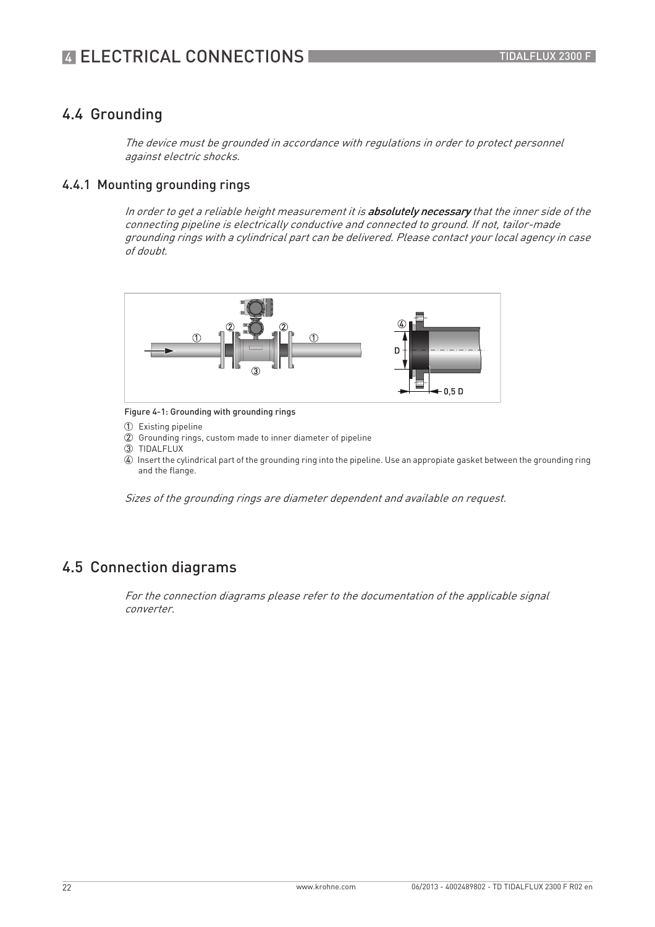### 4.4 Grounding

The device must be grounded in accordance with regulations in order to protect personnel against electric shocks.

#### 4.4.1 Mounting grounding rings

In order to get a reliable height measurement it is absolutely necessary that the inner side of the connecting pipeline is electrically conductive and connected to ground. If not, tailor-made grounding rings with a cylindrical part can be delivered. Please contact your local agency in case of doubt.



Figure 4-1: Grounding with grounding rings

1 Existing pipeline

2 Grounding rings, custom made to inner diameter of pipeline

3 TIDALFLUX

4 Insert the cylindrical part of the grounding ring into the pipeline. Use an appropiate gasket between the grounding ring and the flange.

Sizes of the grounding rings are diameter dependent and available on request.

### 4.5 Connection diagrams

For the connection diagrams please refer to the documentation of the applicable signal converter.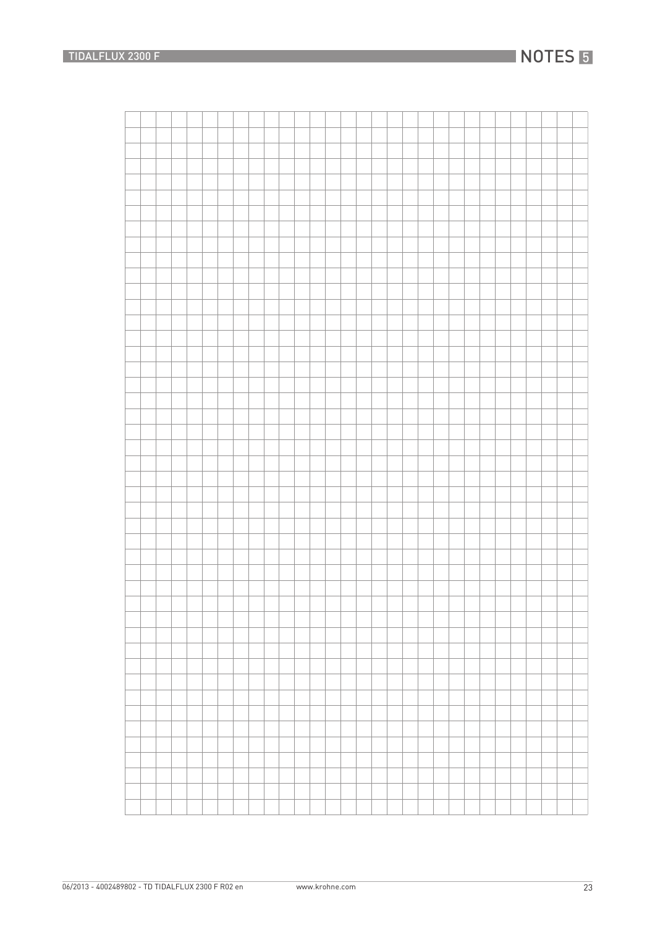## **NOTES 5**